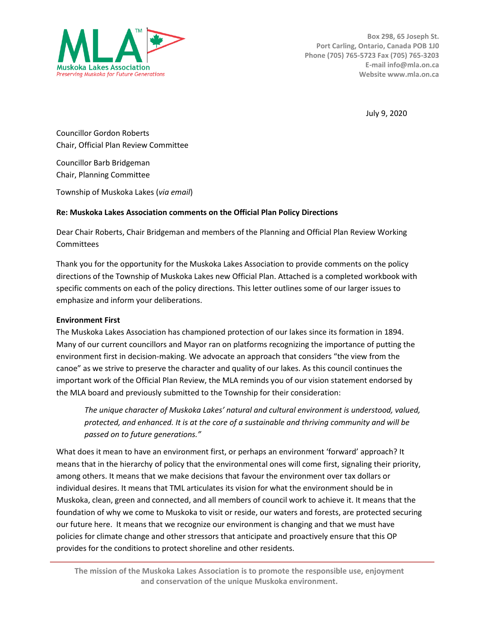

July 9, 2020

Councillor Gordon Roberts Chair, Official Plan Review Committee

Councillor Barb Bridgeman Chair, Planning Committee

Township of Muskoka Lakes (*via email*)

# **Re: Muskoka Lakes Association comments on the Official Plan Policy Directions**

Dear Chair Roberts, Chair Bridgeman and members of the Planning and Official Plan Review Working **Committees** 

Thank you for the opportunity for the Muskoka Lakes Association to provide comments on the policy directions of the Township of Muskoka Lakes new Official Plan. Attached is a completed workbook with specific comments on each of the policy directions. This letter outlines some of our larger issues to emphasize and inform your deliberations.

# **Environment First**

The Muskoka Lakes Association has championed protection of our lakes since its formation in 1894. Many of our current councillors and Mayor ran on platforms recognizing the importance of putting the environment first in decision-making. We advocate an approach that considers "the view from the canoe" as we strive to preserve the character and quality of our lakes. As this council continues the important work of the Official Plan Review, the MLA reminds you of our vision statement endorsed by the MLA board and previously submitted to the Township for their consideration:

*The unique character of Muskoka Lakes' natural and cultural environment is understood, valued, protected, and enhanced. It is at the core of a sustainable and thriving community and will be passed on to future generations."*

What does it mean to have an environment first, or perhaps an environment 'forward' approach? It means that in the hierarchy of policy that the environmental ones will come first, signaling their priority, among others. It means that we make decisions that favour the environment over tax dollars or individual desires. It means that TML articulates its vision for what the environment should be in Muskoka, clean, green and connected, and all members of council work to achieve it. It means that the foundation of why we come to Muskoka to visit or reside, our waters and forests, are protected securing our future here. It means that we recognize our environment is changing and that we must have policies for climate change and other stressors that anticipate and proactively ensure that this OP provides for the conditions to protect shoreline and other residents.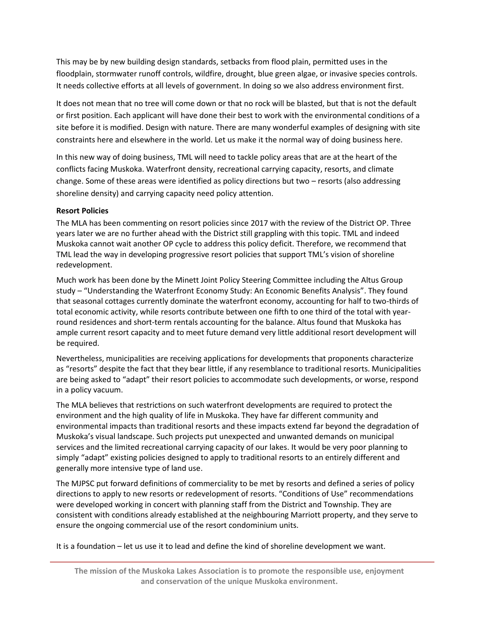This may be by new building design standards, setbacks from flood plain, permitted uses in the floodplain, stormwater runoff controls, wildfire, drought, blue green algae, or invasive species controls. It needs collective efforts at all levels of government. In doing so we also address environment first.

It does not mean that no tree will come down or that no rock will be blasted, but that is not the default or first position. Each applicant will have done their best to work with the environmental conditions of a site before it is modified. Design with nature. There are many wonderful examples of designing with site constraints here and elsewhere in the world. Let us make it the normal way of doing business here.

In this new way of doing business, TML will need to tackle policy areas that are at the heart of the conflicts facing Muskoka. Waterfront density, recreational carrying capacity, resorts, and climate change. Some of these areas were identified as policy directions but two – resorts (also addressing shoreline density) and carrying capacity need policy attention.

# **Resort Policies**

The MLA has been commenting on resort policies since 2017 with the review of the District OP. Three years later we are no further ahead with the District still grappling with this topic. TML and indeed Muskoka cannot wait another OP cycle to address this policy deficit. Therefore, we recommend that TML lead the way in developing progressive resort policies that support TML's vision of shoreline redevelopment.

Much work has been done by the Minett Joint Policy Steering Committee including the Altus Group study – "Understanding the Waterfront Economy Study: An Economic Benefits Analysis". They found that seasonal cottages currently dominate the waterfront economy, accounting for half to two-thirds of total economic activity, while resorts contribute between one fifth to one third of the total with yearround residences and short-term rentals accounting for the balance. Altus found that Muskoka has ample current resort capacity and to meet future demand very little additional resort development will be required.

Nevertheless, municipalities are receiving applications for developments that proponents characterize as "resorts" despite the fact that they bear little, if any resemblance to traditional resorts. Municipalities are being asked to "adapt" their resort policies to accommodate such developments, or worse, respond in a policy vacuum.

The MLA believes that restrictions on such waterfront developments are required to protect the environment and the high quality of life in Muskoka. They have far different community and environmental impacts than traditional resorts and these impacts extend far beyond the degradation of Muskoka's visual landscape. Such projects put unexpected and unwanted demands on municipal services and the limited recreational carrying capacity of our lakes. It would be very poor planning to simply "adapt" existing policies designed to apply to traditional resorts to an entirely different and generally more intensive type of land use.

The MJPSC put forward definitions of commerciality to be met by resorts and defined a series of policy directions to apply to new resorts or redevelopment of resorts. "Conditions of Use" recommendations were developed working in concert with planning staff from the District and Township. They are consistent with conditions already established at the neighbouring Marriott property, and they serve to ensure the ongoing commercial use of the resort condominium units.

It is a foundation – let us use it to lead and define the kind of shoreline development we want.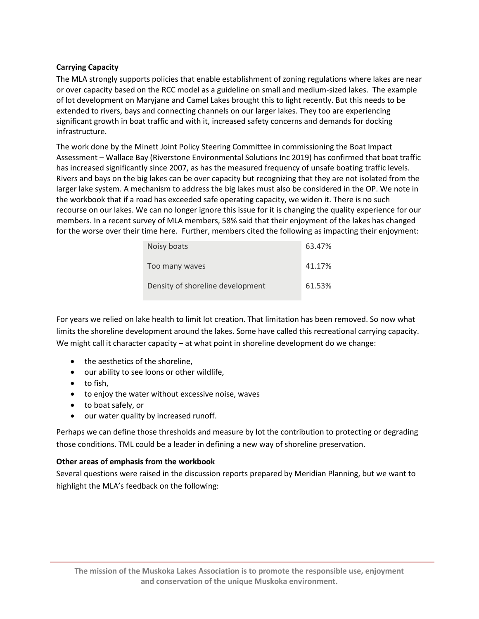# **Carrying Capacity**

The MLA strongly supports policies that enable establishment of zoning regulations where lakes are near or over capacity based on the RCC model as a guideline on small and medium-sized lakes. The example of lot development on Maryjane and Camel Lakes brought this to light recently. But this needs to be extended to rivers, bays and connecting channels on our larger lakes. They too are experiencing significant growth in boat traffic and with it, increased safety concerns and demands for docking infrastructure.

The work done by the Minett Joint Policy Steering Committee in commissioning the Boat Impact Assessment – Wallace Bay (Riverstone Environmental Solutions Inc 2019) has confirmed that boat traffic has increased significantly since 2007, as has the measured frequency of unsafe boating traffic levels. Rivers and bays on the big lakes can be over capacity but recognizing that they are not isolated from the larger lake system. A mechanism to address the big lakes must also be considered in the OP. We note in the workbook that if a road has exceeded safe operating capacity, we widen it. There is no such recourse on our lakes. We can no longer ignore this issue for it is changing the quality experience for our members. In a recent survey of MLA members, 58% said that their enjoyment of the lakes has changed for the worse over their time here. Further, members cited the following as impacting their enjoyment:

| Noisy boats                      | 63.47% |
|----------------------------------|--------|
| Too many waves                   | 41.17% |
| Density of shoreline development | 61.53% |

For years we relied on lake health to limit lot creation. That limitation has been removed. So now what limits the shoreline development around the lakes. Some have called this recreational carrying capacity. We might call it character capacity – at what point in shoreline development do we change:

- the aesthetics of the shoreline,
- our ability to see loons or other wildlife,
- to fish,
- to enjoy the water without excessive noise, waves
- to boat safely, or
- our water quality by increased runoff.

Perhaps we can define those thresholds and measure by lot the contribution to protecting or degrading those conditions. TML could be a leader in defining a new way of shoreline preservation.

# **Other areas of emphasis from the workbook**

Several questions were raised in the discussion reports prepared by Meridian Planning, but we want to highlight the MLA's feedback on the following: